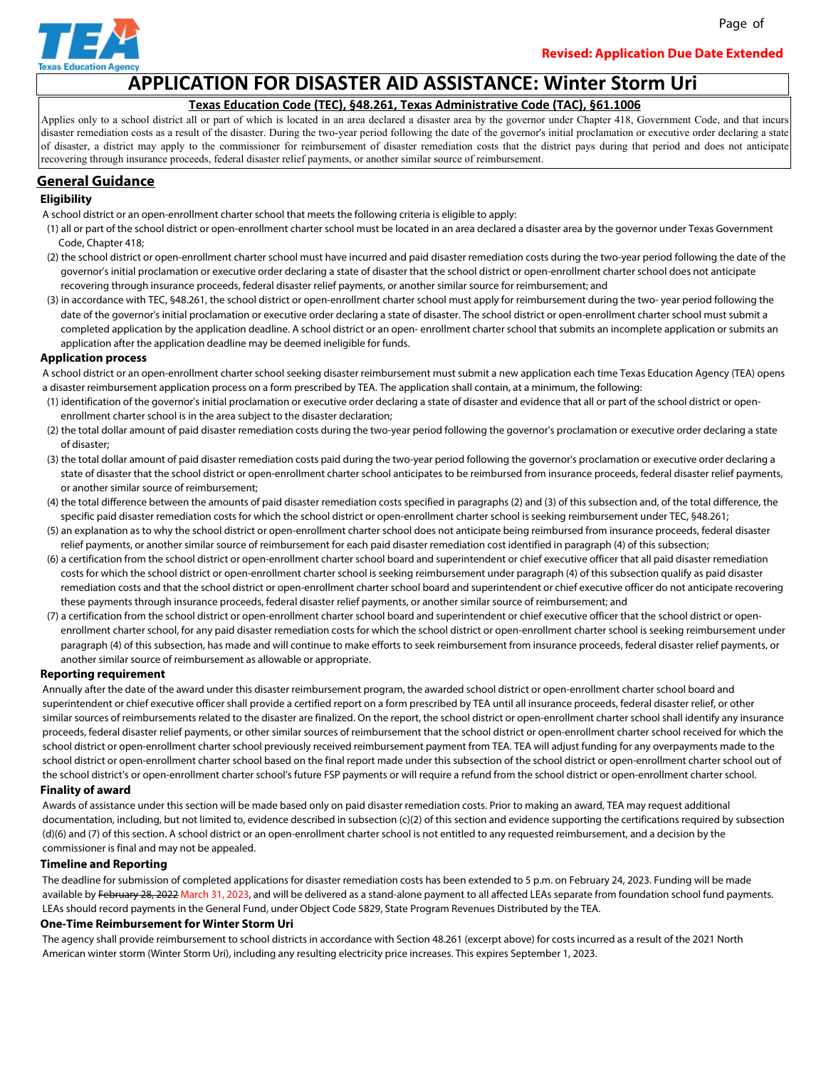

Page of

# **APPLICATION FOR DISASTER AID ASSISTANCE: Winter Storm Uri**

### **Texas Education Code (TEC), §48.261, Texas Administrative Code (TAC), §61.1006**

Applies only to a school district all or part of which is located in an area declared a disaster area by the governor under Chapter 418, Government Code, and that incurs disaster remediation costs as a result of the disaster. During the two-year period following the date of the governor's initial proclamation or executive order declaring a state of disaster, a district may apply to the commissioner for reimbursement of disaster remediation costs that the district pays during that period and does not anticipate recovering through insurance proceeds, federal disaster relief payments, or another similar source of reimbursement.

### **General Guidance**

#### **Eligibility**

- A school district or an open-enrollment charter school that meets the following criteria is eligible to apply:
- (1) all or part of the school district or open-enrollment charter school must be located in an area declared a disaster area by the governor under Texas Government Code, Chapter 418;
- (2) the school district or open-enrollment charter school must have incurred and paid disaster remediation costs during the two-year period following the date of the governor's initial proclamation or executive order declaring a state of disaster that the school district or open-enrollment charter school does not anticipate recovering through insurance proceeds, federal disaster relief payments, or another similar source for reimbursement; and
- (3) in accordance with TEC, §48.261, the school district or open-enrollment charter school must apply for reimbursement during the two- year period following the date of the governor's initial proclamation or executive order declaring a state of disaster. The school district or open-enrollment charter school must submit a completed application by the application deadline. A school district or an open- enrollment charter school that submits an incomplete application or submits an application after the application deadline may be deemed ineligible for funds.

#### **Application process**

- A school district or an open-enrollment charter school seeking disaster reimbursement must submit a new application each time Texas Education Agency (TEA) opens a disaster reimbursement application process on a form prescribed by TEA. The application shall contain, at a minimum, the following:
- (1) identification of the governor's initial proclamation or executive order declaring a state of disaster and evidence that all or part of the school district or open enrollment charter school is in the area subject to the disaster declaration;
- (2) the total dollar amount of paid disaster remediation costs during the two-year period following the governor's proclamation or executive order declaring a state of disaster;
- (3) the total dollar amount of paid disaster remediation costs paid during the two-year period following the governor's proclamation or executive order declaring a state of disaster that the school district or open-enrollment charter school anticipates to be reimbursed from insurance proceeds, federal disaster relief payments, or another similar source of reimbursement;
- (4) the total difference between the amounts of paid disaster remediation costs specified in paragraphs (2) and (3) of this subsection and, of the total difference, the specific paid disaster remediation costs for which the school district or open-enrollment charter school is seeking reimbursement under TEC, §48.261;
- (5) an explanation as to why the school district or open-enrollment charter school does not anticipate being reimbursed from insurance proceeds, federal disaster relief payments, or another similar source of reimbursement for each paid disaster remediation cost identified in paragraph (4) of this subsection;
- (6) a certification from the school district or open-enrollment charter school board and superintendent or chief executive officer that all paid disaster remediation costs for which the school district or open-enrollment charter school is seeking reimbursement under paragraph (4) of this subsection qualify as paid disaster remediation costs and that the school district or open-enrollment charter school board and superintendent or chief executive officer do not anticipate recovering these payments through insurance proceeds, federal disaster relief payments, or another similar source of reimbursement; and
- (7) a certification from the school district or open-enrollment charter school board and superintendent or chief executive officer that the school district or open enrollment charter school, for any paid disaster remediation costs for which the school district or open-enrollment charter school is seeking reimbursement under paragraph (4) of this subsection, has made and will continue to make efforts to seek reimbursement from insurance proceeds, federal disaster relief payments, or another similar source of reimbursement as allowable or appropriate.

#### **Reporting requirement**

 Annually after the date of the award under this disaster reimbursement program, the awarded school district or open-enrollment charter school board and superintendent or chief executive officer shall provide a certified report on a form prescribed by TEA until all insurance proceeds, federal disaster relief, or other similar sources of reimbursements related to the disaster are finalized. On the report, the school district or open-enrollment charter school shall identify any insurance proceeds, federal disaster relief payments, or other similar sources of reimbursement that the school district or open-enrollment charter school received for which the school district or open-enrollment charter school previously received reimbursement payment from TEA. TEA will adjust funding for any overpayments made to the school district or open-enrollment charter school based on the final report made under this subsection of the school district or open-enrollment charter school out of the school district's or open-enrollment charter school's future FSP payments or will require a refund from the school district or open-enrollment charter school.

#### **Finality of award**

 Awards of assistance under this section will be made based only on paid disaster remediation costs. Prior to making an award, TEA may request additional documentation, including, but not limited to, evidence described in subsection (c)(2) of this section and evidence supporting the certifications required by subsection (d)(6) and (7) of this section. A school district or an open-enrollment charter school is not entitled to any requested reimbursement, and a decision by the commissioner is final and may not be appealed.

#### **Timeline and Reporting**

 The deadline for submission of completed applications for disaster remediation costs has been extended to 5 p.m. on February 24, 2023. Funding will be made available by February 28, 2022 March 31, 2023, and will be delivered as a stand-alone payment to all affected LEAs separate from foundation school fund payments. LEAs should record payments in the General Fund, under Object Code 5829, State Program Revenues Distributed by the TEA.

#### **One-Time Reimbursement for Winter Storm Uri**

 The agency shall provide reimbursement to school districts in accordance with Section 48.261 (excerpt above) for costs incurred as a result of the 2021 North American winter storm (Winter Storm Uri), including any resulting electricity price increases. This expires September 1, 2023.